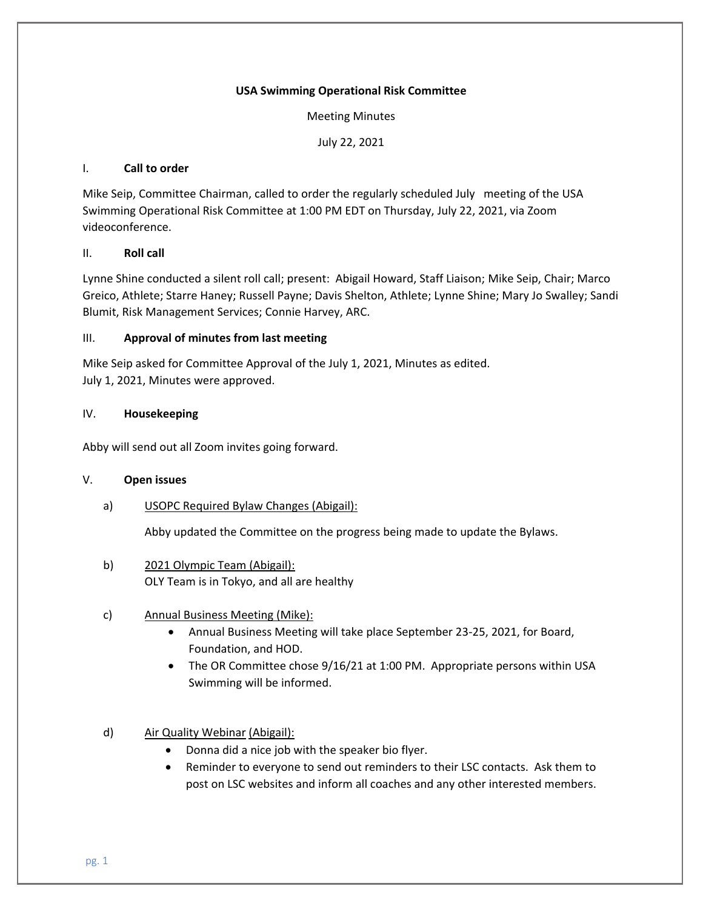#### **USA Swimming Operational Risk Committee**

Meeting Minutes

July 22, 2021

#### I. **Call to order**

Mike Seip, Committee Chairman, called to order the regularly scheduled July meeting of the USA Swimming Operational Risk Committee at 1:00 PM EDT on Thursday, July 22, 2021, via Zoom videoconference.

## II. **Roll call**

Lynne Shine conducted a silent roll call; present: Abigail Howard, Staff Liaison; Mike Seip, Chair; Marco Greico, Athlete; Starre Haney; Russell Payne; Davis Shelton, Athlete; Lynne Shine; Mary Jo Swalley; Sandi Blumit, Risk Management Services; Connie Harvey, ARC.

#### III. **Approval of minutes from last meeting**

Mike Seip asked for Committee Approval of the July 1, 2021, Minutes as edited. July 1, 2021, Minutes were approved.

#### IV. **Housekeeping**

Abby will send out all Zoom invites going forward.

#### V. **Open issues**

a) USOPC Required Bylaw Changes (Abigail):

Abby updated the Committee on the progress being made to update the Bylaws.

b) 2021 Olympic Team (Abigail): OLY Team is in Tokyo, and all are healthy

# c) Annual Business Meeting (Mike):

- Annual Business Meeting will take place September 23-25, 2021, for Board, Foundation, and HOD.
- The OR Committee chose 9/16/21 at 1:00 PM. Appropriate persons within USA Swimming will be informed.
- d) Air Quality Webinar (Abigail):
	- Donna did a nice job with the speaker bio flyer.
	- Reminder to everyone to send out reminders to their LSC contacts. Ask them to post on LSC websites and inform all coaches and any other interested members.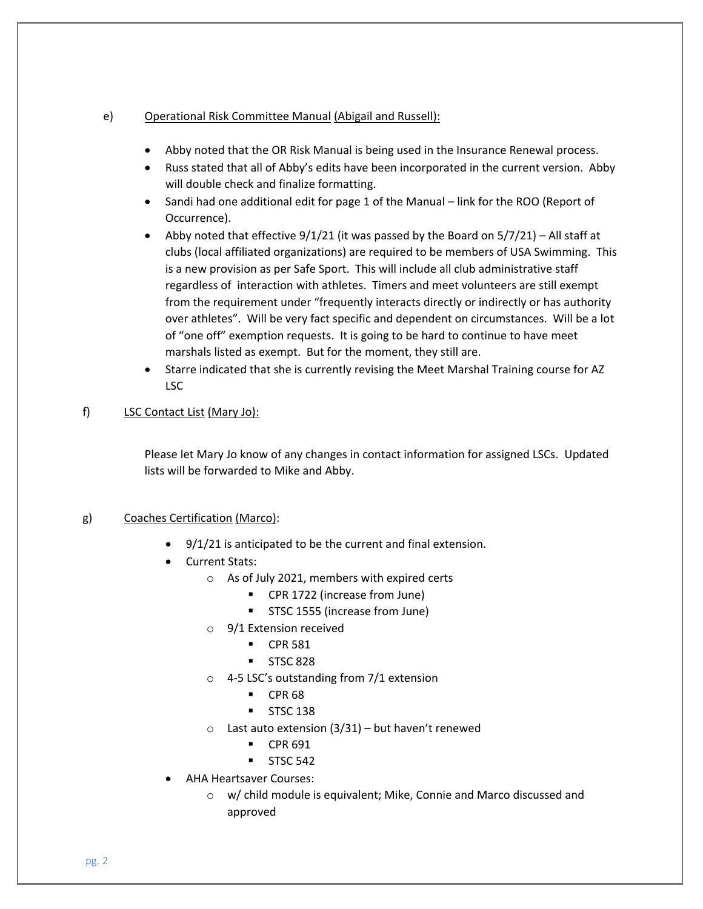## e) Operational Risk Committee Manual (Abigail and Russell):

- Abby noted that the OR Risk Manual is being used in the Insurance Renewal process.
- Russ stated that all of Abby's edits have been incorporated in the current version. Abby will double check and finalize formatting.
- Sandi had one additional edit for page 1 of the Manual link for the ROO (Report of Occurrence).
- Abby noted that effective  $9/1/21$  (it was passed by the Board on  $5/7/21$ ) All staff at clubs (local affiliated organizations) are required to be members of USA Swimming. This is a new provision as per Safe Sport. This will include all club administrative staff regardless of interaction with athletes. Timers and meet volunteers are still exempt from the requirement under "frequently interacts directly or indirectly or has authority over athletes". Will be very fact specific and dependent on circumstances. Will be a lot of "one off" exemption requests. It is going to be hard to continue to have meet marshals listed as exempt. But for the moment, they still are.
- Starre indicated that she is currently revising the Meet Marshal Training course for AZ LSC

# f) LSC Contact List (Mary Jo):

Please let Mary Jo know of any changes in contact information for assigned LSCs. Updated lists will be forwarded to Mike and Abby.

# g) Coaches Certification (Marco):

- 9/1/21 is anticipated to be the current and final extension.
- Current Stats:
	- o As of July 2021, members with expired certs
		- CPR 1722 (increase from June)
		- STSC 1555 (increase from June)
	- o 9/1 Extension received
		- CPR 581
		- **■** STSC 828
	- o 4-5 LSC's outstanding from 7/1 extension
		- CPR 68
		- STSC 138
	- $\circ$  Last auto extension (3/31) but haven't renewed
		- CPR 691
		- $\blacksquare$  STSC 542
- AHA Heartsaver Courses:
	- o w/ child module is equivalent; Mike, Connie and Marco discussed and approved